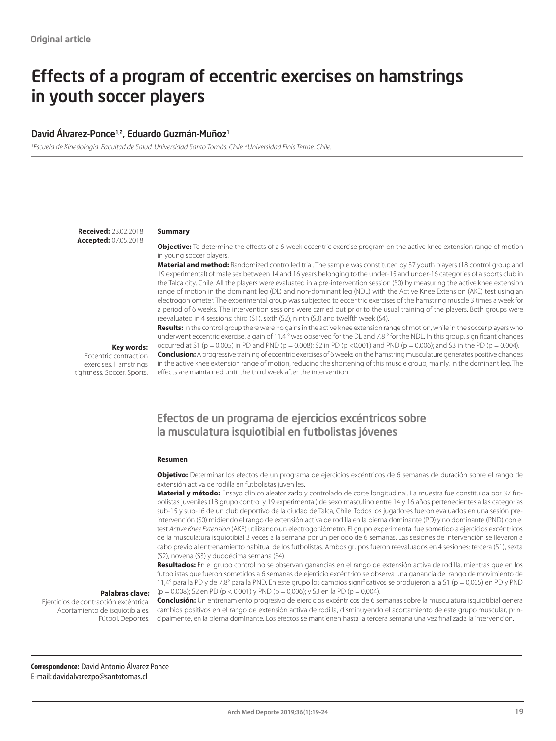# Effects of a program of eccentric exercises on hamstrings in youth soccer players

#### David Álvarez-Ponce<sup>1,2</sup>, Eduardo Guzmán-Muñoz<sup>1</sup>

*1 Escuela de Kinesiología. Facultad de Salud. Universidad Santo Tomás. Chile. 2 Universidad Finis Terrae. Chile.*

**Received:** 23.02.2018 **Accepted:** 07.05.2018

#### **Summary**

**Objective:** To determine the effects of a 6-week eccentric exercise program on the active knee extension range of motion in young soccer players.

**Material and method:** Randomized controlled trial. The sample was constituted by 37 youth players (18 control group and 19 experimental) of male sex between 14 and 16 years belonging to the under-15 and under-16 categories of a sports club in the Talca city, Chile. All the players were evaluated in a pre-intervention session (S0) by measuring the active knee extension range of motion in the dominant leg (DL) and non-dominant leg (NDL) with the Active Knee Extension (AKE) test using an electrogoniometer. The experimental group was subjected to eccentric exercises of the hamstring muscle 3 times a week for a period of 6 weeks. The intervention sessions were carried out prior to the usual training of the players. Both groups were reevaluated in 4 sessions: third (S1), sixth (S2), ninth (S3) and twelfth week (S4).

**Key words:** 

Eccentric contraction exercises. Hamstrings tightness. Soccer. Sports.

underwent eccentric exercise, a gain of 11.4 ° was observed for the DL and 7.8 ° for the NDL. In this group, significant changes occurred at S1 (p = 0.005) in PD and PND (p = 0.008); S2 in PD (p < 0.001) and PND (p = 0.006); and S3 in the PD (p = 0.004). **Conclusion:** A progressive training of eccentric exercises of 6 weeks on the hamstring musculature generates positive changes in the active knee extension range of motion, reducing the shortening of this muscle group, mainly, in the dominant leg. The effects are maintained until the third week after the intervention.

**Results:** In the control group there were no gains in the active knee extension range of motion, while in the soccer players who

# Efectos de un programa de ejercicios excéntricos sobre la musculatura isquiotibial en futbolistas jóvenes

#### **Resumen**

**Objetivo:** Determinar los efectos de un programa de ejercicios excéntricos de 6 semanas de duración sobre el rango de extensión activa de rodilla en futbolistas juveniles.

**Material y método:** Ensayo clínico aleatorizado y controlado de corte longitudinal. La muestra fue constituida por 37 futbolistas juveniles (18 grupo control y 19 experimental) de sexo masculino entre 14 y 16 años pertenecientes a las categorías sub-15 y sub-16 de un club deportivo de la ciudad de Talca, Chile. Todos los jugadores fueron evaluados en una sesión preintervención (S0) midiendo el rango de extensión activa de rodilla en la pierna dominante (PD) y no dominante (PND) con el test *Active Knee Extension* (AKE) utilizando un electrogoniómetro. El grupo experimental fue sometido a ejercicios excéntricos de la musculatura isquiotibial 3 veces a la semana por un periodo de 6 semanas. Las sesiones de intervención se llevaron a cabo previo al entrenamiento habitual de los futbolistas. Ambos grupos fueron reevaluados en 4 sesiones: tercera (S1), sexta (S2), novena (S3) y duodécima semana (S4).

**Resultados:** En el grupo control no se observan ganancias en el rango de extensión activa de rodilla, mientras que en los futbolistas que fueron sometidos a 6 semanas de ejercicio excéntrico se observa una ganancia del rango de movimiento de 11,4° para la PD y de 7,8° para la PND. En este grupo los cambios significativos se produjeron a la S1 (p = 0,005) en PD y PND  $(p = 0,008)$ ; S2 en PD  $(p < 0,001)$  y PND  $(p = 0,006)$ ; y S3 en la PD  $(p = 0,004)$ .

#### **Palabras clave:**

Ejercicios de contracción excéntrica. Acortamiento de isquiotibiales. Fútbol. Deportes.

**Conclusión:** Un entrenamiento progresivo de ejercicios excéntricos de 6 semanas sobre la musculatura isquiotibial genera cambios positivos en el rango de extensión activa de rodilla, disminuyendo el acortamiento de este grupo muscular, principalmente, en la pierna dominante. Los efectos se mantienen hasta la tercera semana una vez finalizada la intervención.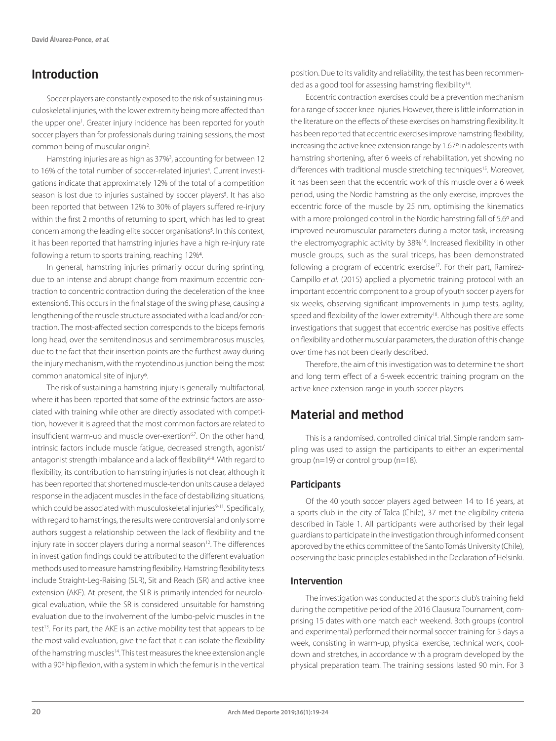# Introduction

Soccer players are constantly exposed to the risk of sustaining musculoskeletal injuries, with the lower extremity being more affected than the upper one<sup>1</sup>. Greater injury incidence has been reported for youth soccer players than for professionals during training sessions, the most common being of muscular origin<sup>2</sup>.

Hamstring injuries are as high as 37%<sup>3</sup>, accounting for between 12 to 16% of the total number of soccer-related injuries<sup>4</sup>. Current investigations indicate that approximately 12% of the total of a competition season is lost due to injuries sustained by soccer players<sup>5</sup>. It has also been reported that between 12% to 30% of players suffered re-injury within the first 2 months of returning to sport, which has led to great concern among the leading elite soccer organisations<sup>5</sup>. In this context, it has been reported that hamstring injuries have a high re-injury rate following a return to sports training, reaching 12%4.

In general, hamstring injuries primarily occur during sprinting, due to an intense and abrupt change from maximum eccentric contraction to concentric contraction during the deceleration of the knee extension6. This occurs in the final stage of the swing phase, causing a lengthening of the muscle structure associated with a load and/or contraction. The most-affected section corresponds to the biceps femoris long head, over the semitendinosus and semimembranosus muscles, due to the fact that their insertion points are the furthest away during the injury mechanism, with the myotendinous junction being the most common anatomical site of injury6.

The risk of sustaining a hamstring injury is generally multifactorial, where it has been reported that some of the extrinsic factors are associated with training while other are directly associated with competition, however it is agreed that the most common factors are related to insufficient warm-up and muscle over-exertion<sup>6,7</sup>. On the other hand, intrinsic factors include muscle fatigue, decreased strength, agonist/ antagonist strength imbalance and a lack of flexibility<sup>6-8</sup>. With regard to flexibility, its contribution to hamstring injuries is not clear, although it has been reported that shortened muscle-tendon units cause a delayed response in the adjacent muscles in the face of destabilizing situations, which could be associated with musculoskeletal injuries<sup>9-11</sup>. Specifically, with regard to hamstrings, the results were controversial and only some authors suggest a relationship between the lack of flexibility and the injury rate in soccer players during a normal season<sup>12</sup>. The differences in investigation findings could be attributed to the different evaluation methods used to measure hamstring flexibility. Hamstring flexibility tests include Straight-Leg-Raising (SLR), Sit and Reach (SR) and active knee extension (AKE). At present, the SLR is primarily intended for neurological evaluation, while the SR is considered unsuitable for hamstring evaluation due to the involvement of the lumbo-pelvic muscles in the test<sup>13</sup>. For its part, the AKE is an active mobility test that appears to be the most valid evaluation, give the fact that it can isolate the flexibility of the hamstring muscles<sup>14</sup>. This test measures the knee extension angle with a 90º hip flexion, with a system in which the femur is in the vertical

position. Due to its validity and reliability, the test has been recommended as a good tool for assessing hamstring flexibility<sup>14</sup>.

Eccentric contraction exercises could be a prevention mechanism for a range of soccer knee injuries. However, there is little information in the literature on the effects of these exercises on hamstring flexibility. It has been reported that eccentric exercises improve hamstring flexibility, increasing the active knee extension range by 1.67º in adolescents with hamstring shortening, after 6 weeks of rehabilitation, yet showing no differences with traditional muscle stretching techniques<sup>15</sup>. Moreover, it has been seen that the eccentric work of this muscle over a 6 week period, using the Nordic hamstring as the only exercise, improves the eccentric force of the muscle by 25 nm, optimising the kinematics with a more prolonged control in the Nordic hamstring fall of 5.6º and improved neuromuscular parameters during a motor task, increasing the electromyographic activity by 38%16. Increased flexibility in other muscle groups, such as the sural triceps, has been demonstrated following a program of eccentric exercise<sup>17</sup>. For their part, Ramirez-Campillo *et al.* (2015) applied a plyometric training protocol with an important eccentric component to a group of youth soccer players for six weeks, observing significant improvements in jump tests, agility, speed and flexibility of the lower extremity<sup>18</sup>. Although there are some investigations that suggest that eccentric exercise has positive effects on flexibility and other muscular parameters, the duration of this change over time has not been clearly described.

Therefore, the aim of this investigation was to determine the short and long term effect of a 6-week eccentric training program on the active knee extension range in youth soccer players.

# Material and method

This is a randomised, controlled clinical trial. Simple random sampling was used to assign the participants to either an experimental group (n=19) or control group (n=18).

### **Participants**

Of the 40 youth soccer players aged between 14 to 16 years, at a sports club in the city of Talca (Chile), 37 met the eligibility criteria described in Table 1. All participants were authorised by their legal guardians to participate in the investigation through informed consent approved by the ethics committee of the Santo Tomás University (Chile), observing the basic principles established in the Declaration of Helsinki.

#### Intervention

The investigation was conducted at the sports club's training field during the competitive period of the 2016 Clausura Tournament, comprising 15 dates with one match each weekend. Both groups (control and experimental) performed their normal soccer training for 5 days a week, consisting in warm-up, physical exercise, technical work, cooldown and stretches, in accordance with a program developed by the physical preparation team. The training sessions lasted 90 min. For 3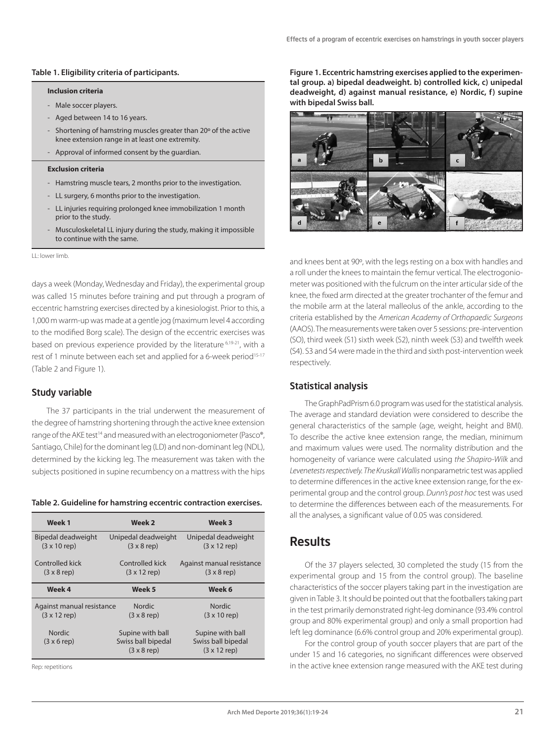#### **Table 1. Eligibility criteria of participants.**

#### **Inclusion criteria**

- Male soccer players.
- Aged between 14 to 16 years.
- Shortening of hamstring muscles greater than 20º of the active knee extension range in at least one extremity.
- Approval of informed consent by the guardian.

#### **Exclusion criteria**

- Hamstring muscle tears, 2 months prior to the investigation.
- LL surgery, 6 months prior to the investigation.
- LL injuries requiring prolonged knee immobilization 1 month prior to the study.
- Musculoskeletal LL injury during the study, making it impossible to continue with the same.

LL: lower limb.

days a week (Monday, Wednesday and Friday), the experimental group was called 15 minutes before training and put through a program of eccentric hamstring exercises directed by a kinesiologist. Prior to this, a 1,000 m warm-up was made at a gentle jog (maximum level 4 according to the modified Borg scale). The design of the eccentric exercises was based on previous experience provided by the literature 6,19-21, with a rest of 1 minute between each set and applied for a 6-week period<sup>15-17</sup> (Table 2 and Figure 1).

#### Study variable

The 37 participants in the trial underwent the measurement of the degree of hamstring shortening through the active knee extension range of the AKE test<sup>14</sup> and measured with an electrogoniometer (Pasco®, Santiago, Chile) for the dominant leg (LD) and non-dominant leg (NDL), determined by the kicking leg. The measurement was taken with the subjects positioned in supine recumbency on a mattress with the hips

#### **Table 2. Guideline for hamstring eccentric contraction exercises.**

| Week 1                                      | Week <sub>2</sub>                                            | Week 3                                                        |  |
|---------------------------------------------|--------------------------------------------------------------|---------------------------------------------------------------|--|
| Bipedal deadweight                          | Unipedal deadweight                                          | Unipedal deadweight                                           |  |
| $(3 \times 10$ rep)                         | $(3 \times 8$ rep)                                           | $(3 \times 12$ rep)                                           |  |
| Controlled kick                             | Controlled kick                                              | Against manual resistance                                     |  |
| $(3 \times 8$ rep)                          | $(3 \times 12$ rep)                                          | $(3 \times 8$ rep)                                            |  |
| Week 4                                      | Week <sub>5</sub>                                            | Week 6                                                        |  |
| Against manual resistance                   | <b>Nordic</b>                                                | <b>Nordic</b>                                                 |  |
| $(3 \times 12$ rep)                         | $(3 \times 8$ rep)                                           | $(3 \times 10$ rep)                                           |  |
| <b>Nordic</b><br>$(3 \times 6 \text{ rep})$ | Supine with ball<br>Swiss ball bipedal<br>$(3 \times 8$ rep) | Supine with ball<br>Swiss ball bipedal<br>$(3 \times 12$ rep) |  |

Rep: repetitions

**Figure 1. Eccentric hamstring exercises applied to the experimental group. a) bipedal deadweight. b) controlled kick, c) unipedal deadweight, d) against manual resistance, e) Nordic, f) supine with bipedal Swiss ball.** 



and knees bent at 90º, with the legs resting on a box with handles and a roll under the knees to maintain the femur vertical. The electrogoniometer was positioned with the fulcrum on the inter articular side of the knee, the fixed arm directed at the greater trochanter of the femur and the mobile arm at the lateral malleolus of the ankle, according to the criteria established by the *American Academy of Orthopaedic Surgeons*  (AAOS). The measurements were taken over 5 sessions: pre-intervention (SO), third week (S1) sixth week (S2), ninth week (S3) and twelfth week (S4). S3 and S4 were made in the third and sixth post-intervention week respectively.

#### Statistical analysis

The GraphPadPrism 6.0 program was used for the statistical analysis. The average and standard deviation were considered to describe the general characteristics of the sample (age, weight, height and BMI). To describe the active knee extension range, the median, minimum and maximum values were used. The normality distribution and the homogeneity of variance were calculated using *the Shapiro-Wilk* and *Levenetests respectively. The Kruskall Wallis* nonparametric test was applied to determine differences in the active knee extension range, for the experimental group and the control group. *Dunn's post hoc* test was used to determine the differences between each of the measurements. For all the analyses, a significant value of 0.05 was considered.

# **Results**

Of the 37 players selected, 30 completed the study (15 from the experimental group and 15 from the control group). The baseline characteristics of the soccer players taking part in the investigation are given in Table 3. It should be pointed out that the footballers taking part in the test primarily demonstrated right-leg dominance (93.4% control group and 80% experimental group) and only a small proportion had left leg dominance (6.6% control group and 20% experimental group).

For the control group of youth soccer players that are part of the under 15 and 16 categories, no significant differences were observed in the active knee extension range measured with the AKE test during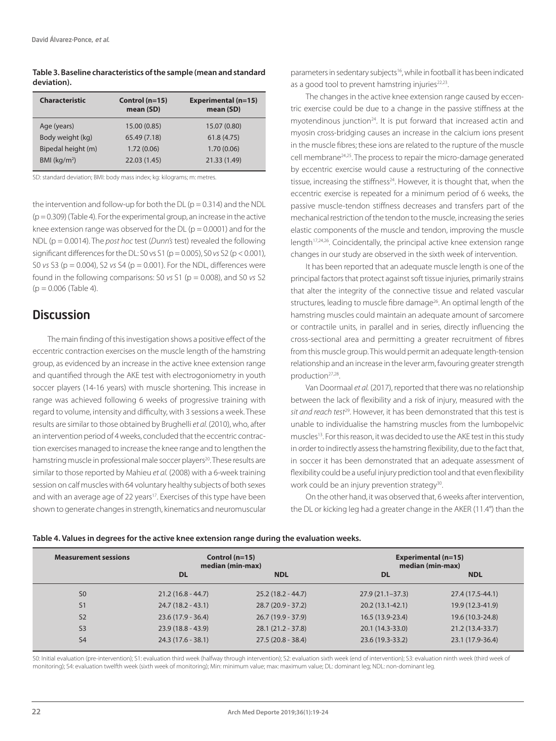| Table 3. Baseline characteristics of the sample (mean and standard |
|--------------------------------------------------------------------|
| deviation).                                                        |

| <b>Characteristic</b> | Control $(n=15)$<br>mean (SD) | Experimental (n=15)<br>mean (SD) |
|-----------------------|-------------------------------|----------------------------------|
| Age (years)           | 15.00 (0.85)                  | 15.07 (0.80)                     |
| Body weight (kg)      | 65.49 (7.18)                  | 61.8(4.75)                       |
| Bipedal height (m)    | 1.72(0.06)                    | 1.70(0.06)                       |
| BMI $(kq/m2)$         | 22.03 (1.45)                  | 21.33 (1.49)                     |

SD: standard deviation; BMI: body mass index; kg: kilograms; m: metres.

the intervention and follow-up for both the  $DL$  ( $p = 0.314$ ) and the NDL  $(p = 0.309)$  (Table 4). For the experimental group, an increase in the active knee extension range was observed for the DL ( $p = 0.0001$ ) and for the NDL (p = 0.0014). The *post hoc* test (*Dunn's* test) revealed the following significant differences for the DL: S0 vs S1 (p = 0.005), S0 *vs* S2 (p < 0.001), S0 *vs* S3 (p = 0.004), S2 *vs* S4 (p = 0.001). For the NDL, differences were found in the following comparisons: S0 *vs* S1 (p = 0.008), and S0 *vs* S2  $(p = 0.006$  (Table 4).

# **Discussion**

The main finding of this investigation shows a positive effect of the eccentric contraction exercises on the muscle length of the hamstring group, as evidenced by an increase in the active knee extension range and quantified through the AKE test with electrogoniometry in youth soccer players (14-16 years) with muscle shortening. This increase in range was achieved following 6 weeks of progressive training with regard to volume, intensity and difficulty, with 3 sessions a week. These results are similar to those obtained by Brughelli *et al.* (2010), who, after an intervention period of 4 weeks, concluded that the eccentric contraction exercises managed to increase the knee range and to lengthen the hamstring muscle in professional male soccer players<sup>20</sup>. These results are similar to those reported by Mahieu *et al.* (2008) with a 6-week training session on calf muscles with 64 voluntary healthy subjects of both sexes and with an average age of 22 years<sup>17</sup>. Exercises of this type have been shown to generate changes in strength, kinematics and neuromuscular parameters in sedentary subjects16, while in football it has been indicated as a good tool to prevent hamstring injuries<sup>22,23</sup>.

The changes in the active knee extension range caused by eccentric exercise could be due to a change in the passive stiffness at the myotendinous junction<sup>24</sup>. It is put forward that increased actin and myosin cross-bridging causes an increase in the calcium ions present in the muscle fibres; these ions are related to the rupture of the muscle cell membrane24,25. The process to repair the micro-damage generated by eccentric exercise would cause a restructuring of the connective tissue, increasing the stiffness<sup>24</sup>. However, it is thought that, when the eccentric exercise is repeated for a minimum period of 6 weeks, the passive muscle-tendon stiffness decreases and transfers part of the mechanical restriction of the tendon to the muscle, increasing the series elastic components of the muscle and tendon, improving the muscle length<sup>17,24,26</sup>. Coincidentally, the principal active knee extension range changes in our study are observed in the sixth week of intervention.

It has been reported that an adequate muscle length is one of the principal factors that protect against soft tissue injuries, primarily strains that alter the integrity of the connective tissue and related vascular structures, leading to muscle fibre damage<sup>26</sup>. An optimal length of the hamstring muscles could maintain an adequate amount of sarcomere or contractile units, in parallel and in series, directly influencing the cross-sectional area and permitting a greater recruitment of fibres from this muscle group. This would permit an adequate length-tension relationship and an increase in the lever arm, favouring greater strength production27,28.

Van Doormaal *et al.* (2017), reported that there was no relationship between the lack of flexibility and a risk of injury, measured with the *sit and reach test*29. However, it has been demonstrated that this test is unable to individualise the hamstring muscles from the lumbopelvic muscles<sup>13</sup>. For this reason, it was decided to use the AKE test in this study in order to indirectly assess the hamstring flexibility, due to the fact that, in soccer it has been demonstrated that an adequate assessment of flexibility could be a useful injury prediction tool and that even flexibility work could be an injury prevention strategy<sup>30</sup>.

On the other hand, it was observed that, 6 weeks after intervention, the DL or kicking leg had a greater change in the AKER (11.4°) than the

| Table 4. Values in degrees for the active knee extension range during the evaluation weeks. |  |  |
|---------------------------------------------------------------------------------------------|--|--|
|                                                                                             |  |  |

| <b>Measurement sessions</b> | Control $(n=15)$<br>median (min-max) |                     |                   | Experimental (n=15)<br>median (min-max) |
|-----------------------------|--------------------------------------|---------------------|-------------------|-----------------------------------------|
|                             | <b>DL</b>                            | <b>NDL</b>          | <b>DL</b>         | <b>NDL</b>                              |
| S <sub>0</sub>              | $21.2(16.8 - 44.7)$                  | $25.2(18.2 - 44.7)$ | $27.9(21.1-37.3)$ | 27.4 (17.5-44.1)                        |
| S <sub>1</sub>              | $24.7(18.2 - 43.1)$                  | $28.7(20.9 - 37.2)$ | $20.2(13.1-42.1)$ | 19.9 (12.3-41.9)                        |
| S <sub>2</sub>              | $23.6(17.9 - 36.4)$                  | $26.7(19.9 - 37.9)$ | 16.5 (13.9-23.4)  | 19.6 (10.3-24.8)                        |
| S <sub>3</sub>              | $23.9(18.8 - 43.9)$                  | $28.1(21.2 - 37.8)$ | 20.1 (14.3-33.0)  | 21.2 (13.4-33.7)                        |
| S <sub>4</sub>              | $24.3(17.6 - 38.1)$                  | $27.5(20.8 - 38.4)$ | 23.6 (19.3-33.2)  | 23.1 (17.9-36.4)                        |

S0: Initial evaluation (pre-intervention); S1: evaluation third week (halfway through intervention); S2: evaluation sixth week (end of intervention); S3: evaluation ninth week (third week of monitoring); S4: evaluation twelfth week (sixth week of monitoring); Min: minimum value; max: maximum value; DL: dominant leg; NDL: non-dominant leg.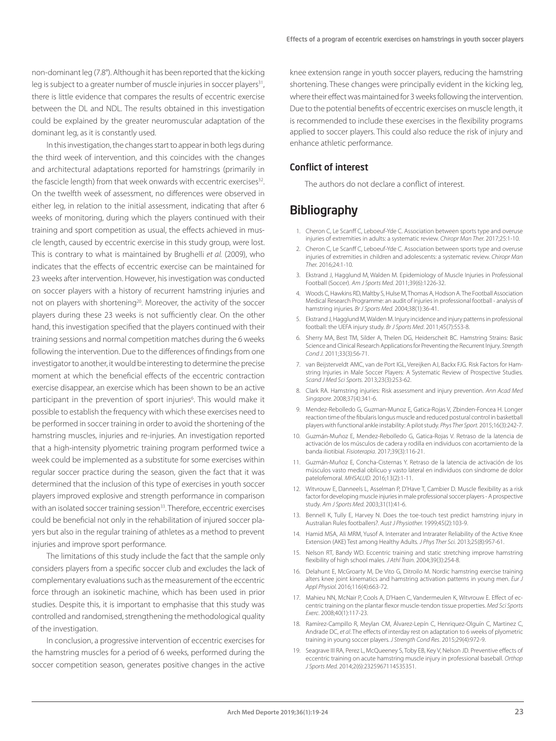non-dominant leg (7.8°). Although it has been reported that the kicking leg is subject to a greater number of muscle injuries in soccer players<sup>31</sup>, there is little evidence that compares the results of eccentric exercise between the DL and NDL. The results obtained in this investigation could be explained by the greater neuromuscular adaptation of the dominant leg, as it is constantly used.

In this investigation, the changes start to appear in both legs during the third week of intervention, and this coincides with the changes and architectural adaptations reported for hamstrings (primarily in the fascicle length) from that week onwards with eccentric exercises<sup>32</sup>. On the twelfth week of assessment, no differences were observed in either leg, in relation to the initial assessment, indicating that after 6 weeks of monitoring, during which the players continued with their training and sport competition as usual, the effects achieved in muscle length, caused by eccentric exercise in this study group, were lost. This is contrary to what is maintained by Brughelli *et al.* (2009), who indicates that the effects of eccentric exercise can be maintained for 23 weeks after intervention. However, his investigation was conducted on soccer players with a history of recurrent hamstring injuries and not on players with shortening<sup>20</sup>. Moreover, the activity of the soccer players during these 23 weeks is not sufficiently clear. On the other hand, this investigation specified that the players continued with their training sessions and normal competition matches during the 6 weeks following the intervention. Due to the differences of findings from one investigator to another, it would be interesting to determine the precise moment at which the beneficial effects of the eccentric contraction exercise disappear, an exercise which has been shown to be an active participant in the prevention of sport injuries<sup>6</sup>. This would make it possible to establish the frequency with which these exercises need to be performed in soccer training in order to avoid the shortening of the hamstring muscles, injuries and re-injuries. An investigation reported that a high-intensity plyometric training program performed twice a week could be implemented as a substitute for some exercises within regular soccer practice during the season, given the fact that it was determined that the inclusion of this type of exercises in youth soccer players improved explosive and strength performance in comparison with an isolated soccer training session<sup>33</sup>. Therefore, eccentric exercises could be beneficial not only in the rehabilitation of injured soccer players but also in the regular training of athletes as a method to prevent injuries and improve sport performance.

The limitations of this study include the fact that the sample only considers players from a specific soccer club and excludes the lack of complementary evaluations such as the measurement of the eccentric force through an isokinetic machine, which has been used in prior studies. Despite this, it is important to emphasise that this study was controlled and randomised, strengthening the methodological quality of the investigation.

In conclusion, a progressive intervention of eccentric exercises for the hamstring muscles for a period of 6 weeks, performed during the soccer competition season, generates positive changes in the active

knee extension range in youth soccer players, reducing the hamstring shortening. These changes were principally evident in the kicking leg, where their effect was maintained for 3 weeks following the intervention. Due to the potential benefits of eccentric exercises on muscle length, it is recommended to include these exercises in the flexibility programs applied to soccer players. This could also reduce the risk of injury and enhance athletic performance.

#### Conflict of interest

The authors do not declare a conflict of interest.

# **Bibliography**

- 1. Cheron C, Le Scanff C, Leboeuf-Yde C. Association between sports type and overuse injuries of extremities in adults: a systematic review. *Chiropr Man Ther.* 2017;25:1-10.
- 2. Cheron C, Le Scanff C, Leboeuf-Yde C. Association between sports type and overuse injuries of extremities in children and adolescents: a systematic review. *Chiropr Man Ther.* 2016;24:1-10.
- 3. Ekstrand J, Hagglund M, Walden M. Epidemiology of Muscle Injuries in Professional Football (Soccer). *Am J Sports Med*. 2011;39(6):1226-32.
- 4. Woods C, Hawkins RD, Maltby S, Hulse M, Thomas A, Hodson A. The Football Association Medical Research Programme: an audit of injuries in professional football - analysis of hamstring injuries*. Br J Sports Med.* 2004;38(1):36-41.
- 5. Ekstrand J, Hagglund M, Walden M. Injury incidence and injury patterns in professional football: the UEFA injury study. *Br J Sports Med*. 2011;45(7):553-8.
- 6. Sherry MA, Best TM, Silder A, Thelen DG, Heiderscheit BC. Hamstring Strains: Basic Science and Clinical Research Applications for Preventing the Recurrent Injury. *Strength Cond J.* 2011;33(3):56-71.
- 7. van Beijsterveldt AMC, van de Port IGL, Vereijken AJ, Backx FJG. Risk Factors for Hamstring Injuries in Male Soccer Players: A Systematic Review of Prospective Studies. *Scand J Med Sci Sports*. 2013;23(3):253-62.
- 8. Clark RA. Hamstring injuries: Risk assessment and injury prevention. *Ann Acad Med Singapore.* 2008;37(4):341-6.
- 9. Mendez-Rebolledo G, Guzman-Munoz E, Gatica-Rojas V, Zbinden-Foncea H. Longer reaction time of the fibularis longus muscle and reduced postural control in basketball players with functional ankle instability: A pilot study. *Phys Ther Sport.* 2015;16(3):242-7.
- 10. Guzmán-Muñoz E, Mendez-Rebolledo G, Gatica-Rojas V. Retraso de la latencia de activación de los músculos de cadera y rodilla en individuos con acortamiento de la banda iliotibial. *Fisioterapia*. 2017;39(3):116-21.
- 11. Guzmán-Muñoz E, Concha-Cisternas Y. Retraso de la latencia de activación de los músculos vasto medial oblicuo y vasto lateral en individuos con síndrome de dolor patelofemoral. *MHSALUD.* 2016;13(2):1-11.
- 12. Witvrouw E, Danneels L, Asselman P, D'Have T, Cambier D. Muscle flexibility as a risk factor for developing muscle injuries in male professional soccer players - A prospective study. *Am J Sports Med.* 2003;31(1):41-6.
- 13. Bennell K, Tully E, Harvey N. Does the toe-touch test predict hamstring injury in Australian Rules footballers?. *Aust J Physiother.* 1999;45(2):103-9.
- 14. Hamid MSA, Ali MRM, Yusof A. Interrater and Intrarater Reliability of the Active Knee Extension (AKE) Test among Healthy Adults. *J Phys Ther Sci.* 2013;25(8):957-61.
- 15. Nelson RT, Bandy WD. Eccentric training and static stretching improve hamstring flexibility of high school males. *J Athl Train*. 2004;39(3):254-8.
- 16. Delahunt E, McGroarty M, De Vito G, Ditroilo M. Nordic hamstring exercise training alters knee joint kinematics and hamstring activation patterns in young men. *Eur J Appl Physiol.* 2016;116(4):663-72.
- 17. Mahieu NN, McNair P, Cools A, D'Haen C, Vandermeulen K, Witvrouw E. Effect of eccentric training on the plantar flexor muscle-tendon tissue properties. *Med Sci Sports Exerc*. 2008;40(1):117-23.
- 18. Ramírez-Campillo R, Meylan CM, Álvarez-Lepín C, Henriquez-Olguín C, Martinez C, Andrade DC, *et al*. The effects of interday rest on adaptation to 6 weeks of plyometric training in young soccer players. *J Strength Cond Res*. 2015;29(4):972-9.
- 19. Seagrave III RA, Perez L, McQueeney S, Toby EB, Key V, Nelson JD. Preventive effects of eccentric training on acute hamstring muscle injury in professional baseball. *Orthop J Sports Med.* 2014;2(6):2325967114535351.